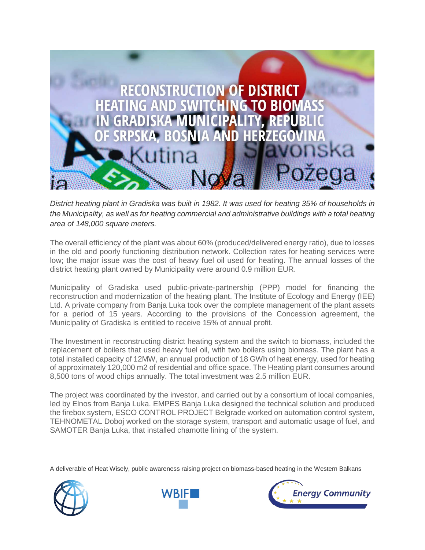

*District heating plant in Gradiska was built in 1982. It was used for heating 35% of households in the Municipality, as well as for heating commercial and administrative buildings with a total heating area of 148,000 square meters.*

The overall efficiency of the plant was about 60% (produced/delivered energy ratio), due to losses in the old and poorly functioning distribution network. Collection rates for heating services were low; the major issue was the cost of heavy fuel oil used for heating. The annual losses of the district heating plant owned by Municipality were around 0.9 million EUR.

Municipality of Gradiska used public-private-partnership (PPP) model for financing the reconstruction and modernization of the heating plant. The Institute of Ecology and Energy (IEE) Ltd. A private company from Banja Luka took over the complete management of the plant assets for a period of 15 years. According to the provisions of the Concession agreement, the Municipality of Gradiska is entitled to receive 15% of annual profit.

The Investment in reconstructing district heating system and the switch to biomass, included the replacement of boilers that used heavy fuel oil, with two boilers using biomass. The plant has a total installed capacity of 12MW, an annual production of 18 GWh of heat energy, used for heating of approximately 120,000 m2 of residential and office space. The Heating plant consumes around 8,500 tons of wood chips annually. The total investment was 2.5 million EUR.

The project was coordinated by the investor, and carried out by a consortium of local companies, led by Elnos from Banja Luka. EMPES Banja Luka designed the technical solution and produced the firebox system, ESCO CONTROL PROJECT Belgrade worked on automation control system, TEHNOMETAL Doboj worked on the storage system, transport and automatic usage of fuel, and SAMOTER Banja Luka, that installed chamotte lining of the system.

A deliverable of Heat Wisely, public awareness raising project on biomass-based heating in the Western Balkans





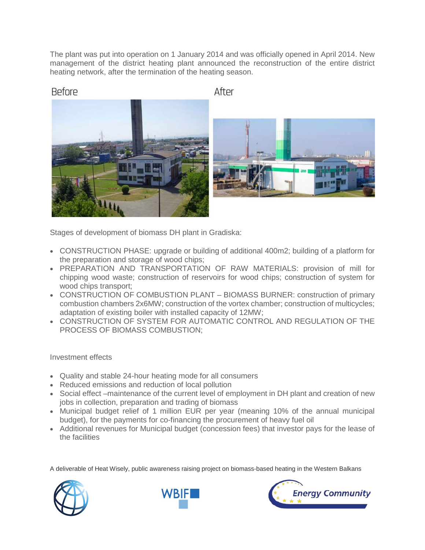The plant was put into operation on 1 January 2014 and was officially opened in April 2014. New management of the district heating plant announced the reconstruction of the entire district heating network, after the termination of the heating season.

After

Stages of development of biomass DH plant in Gradiska:

- CONSTRUCTION PHASE: upgrade or building of additional 400m2; building of a platform for the preparation and storage of wood chips;
- PREPARATION AND TRANSPORTATION OF RAW MATERIALS: provision of mill for chipping wood waste; construction of reservoirs for wood chips; construction of system for wood chips transport;
- CONSTRUCTION OF COMBUSTION PLANT BIOMASS BURNER: construction of primary combustion chambers 2x6MW; construction of the vortex chamber; construction of multicycles; adaptation of existing boiler with installed capacity of 12MW;
- CONSTRUCTION OF SYSTEM FOR AUTOMATIC CONTROL AND REGULATION OF THE PROCESS OF BIOMASS COMBUSTION;

Investment effects

**Before** 

- Quality and stable 24-hour heating mode for all consumers
- Reduced emissions and reduction of local pollution
- Social effect –maintenance of the current level of employment in DH plant and creation of new jobs in collection, preparation and trading of biomass
- Municipal budget relief of 1 million EUR per year (meaning 10% of the annual municipal budget), for the payments for co-financing the procurement of heavy fuel oil
- Additional revenues for Municipal budget (concession fees) that investor pays for the lease of the facilities

A deliverable of Heat Wisely, public awareness raising project on biomass-based heating in the Western Balkans